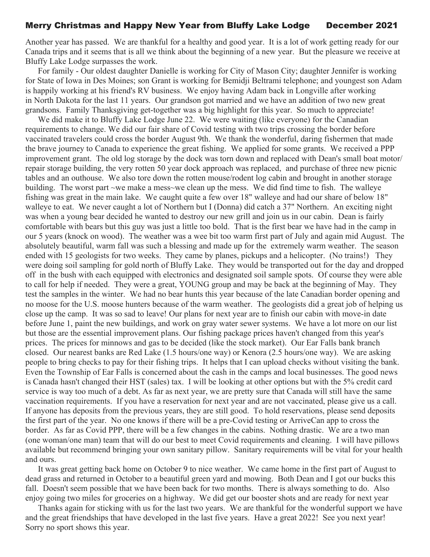## Merry Christmas and Happy New Year from Bluffy Lake Lodge December 2021

Another year has passed. We are thankful for a healthy and good year. It is a lot of work getting ready for our Canada trips and it seems that is all we think about the beginning of a new year. But the pleasure we receive at Bluffy Lake Lodge surpasses the work.

For family - Our oldest daughter Danielle is working for City of Mason City; daughter Jennifer is working for State of Iowa in Des Moines; son Grant is working for Bemidji Beltrami telephone; and youngest son Adam is happily working at his friend's RV business. We enjoy having Adam back in Longville after working in North Dakota for the last 11 years. Our grandson got married and we have an addition of two new great grandsons. Family Thanksgiving get-together was a big highlight for this year. So much to appreciate!

We did make it to Bluffy Lake Lodge June 22. We were waiting (like everyone) for the Canadian requirements to change. We did our fair share of Covid testing with two trips crossing the border before vaccinated travelers could cross the border August 9th. We thank the wonderful, daring fishermen that made the brave journey to Canada to experience the great fishing. We applied for some grants. We received a PPP improvement grant. The old log storage by the dock was torn down and replaced with Dean's small boat motor/ repair storage building, the very rotten 50 year dock approach was replaced, and purchase of three new picnic tables and an outhouse. We also tore down the rotten mouse/rodent log cabin and brought in another storage building. The worst part ~we make a mess~we clean up the mess. We did find time to fish. The walleye fishing was great in the main lake. We caught quite a few over 18" walleye and had our share of below 18" walleye to eat. We never caught a lot of Northern but I (Donna) did catch a 37" Northern. An exciting night was when a young bear decided he wanted to destroy our new grill and join us in our cabin. Dean is fairly comfortable with bears but this guy was just a little too bold. That is the first bear we have had in the camp in our 5 years (knock on wood). The weather was a wee bit too warm first part of July and again mid August. The absolutely beautiful, warm fall was such a blessing and made up for the extremely warm weather. The season ended with 15 geologists for two weeks. They came by planes, pickups and a helicopter. (No trains!) They were doing soil sampling for gold north of Bluffy Lake. They would be transported out for the day and dropped off in the bush with each equipped with electronics and designated soil sample spots. Of course they were able to call for help if needed. They were a great, YOUNG group and may be back at the beginning of May. They test the samples in the winter. We had no bear hunts this year because of the late Canadian border opening and no moose for the U.S. moose hunters because of the warm weather. The geologists did a great job of helping us close up the camp. It was so sad to leave! Our plans for next year are to finish our cabin with move-in date before June 1, paint the new buildings, and work on gray water sewer systems. We have a lot more on our list but those are the essential improvement plans. Our fishing package prices haven't changed from this year's prices. The prices for minnows and gas to be decided (like the stock market). Our Ear Falls bank branch closed. Our nearest banks are Red Lake (1.5 hours/one way) or Kenora (2.5 hours/one way). We are asking people to bring checks to pay for their fishing trips. It helps that I can upload checks without visiting the bank. Even the Township of Ear Falls is concerned about the cash in the camps and local businesses. The good news is Canada hasn't changed their HST (sales) tax. I will be looking at other options but with the 5% credit card service is way too much of a debt. As far as next year, we are pretty sure that Canada will still have the same vaccination requirements. If you have a reservation for next year and are not vaccinated, please give us a call. If anyone has deposits from the previous years, they are still good. To hold reservations, please send deposits the first part of the year. No one knows if there will be a pre-Covid testing or ArriveCan app to cross the border. As far as Covid PPP, there will be a few changes in the cabins. Nothing drastic. We are a two man (one woman/one man) team that will do our best to meet Covid requirements and cleaning. I will have pillows available but recommend bringing your own sanitary pillow. Sanitary requirements will be vital for your health and ours.

It was great getting back home on October 9 to nice weather. We came home in the first part of August to dead grass and returned in October to a beautiful green yard and mowing. Both Dean and I got our bucks this fall. Doesn't seem possible that we have been back for two months. There is always something to do. Also enjoy going two miles for groceries on a highway. We did get our booster shots and are ready for next year

Thanks again for sticking with us for the last two years. We are thankful for the wonderful support we have and the great friendships that have developed in the last five years. Have a great 2022! See you next year! Sorry no sport shows this year.